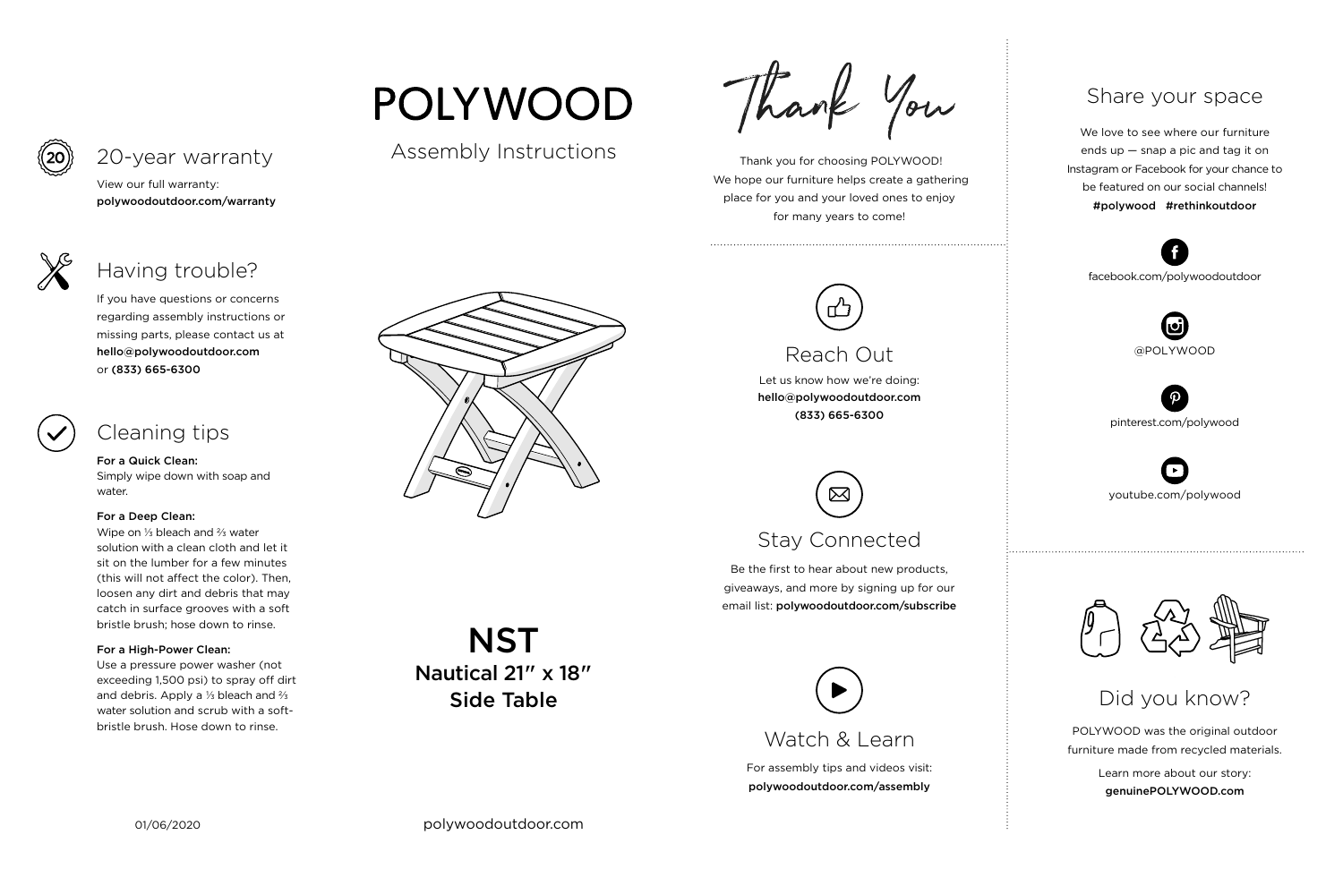For assembly tips and videos visit: polywoodoutdoor.com/assembly



 Thank you for choosing POLYWOOD! We hope our furniture helps create a gathering place for you and your loved ones to enjoy for many years to come!



Let us know how we're doing: hello@polywoodoutdoor.com (833) 665-6300

Be the first to hear about new products, giveaways, and more by signing up for our email list: polywoodoutdoor.com/subscribe

> POLYWOOD was the original outdoor furniture made from recycled materials.

> > Learn more about our story: genuinePOLYWOOD.com

We love to see where our furniture ends up — snap a pic and tag it on Instagram or Facebook for your chance to be featured on our social channels! #polywood #rethinkoutdoor



youtube.com/polywood



pinterest.com/polywood



facebook.com/polywoodoutdoor







# Reach Out

# Stay Connected

**NST** Nautical 21" x 18" Side Table

### Share your space

Did you know?

View our full warranty: polywoodoutdoor.com/warranty



For a Quick Clean:

Simply wipe down with soap and water.

### For a Deep Clean:

Wipe on ⅓ bleach and ⅔ water solution with a clean cloth and let it sit on the lumber for a few minutes (this will not affect the color). Then, loosen any dirt and debris that may catch in surface grooves with a soft bristle brush; hose down to rinse.

### For a High-Power Clean:

Use a pressure power washer (not exceeding 1,500 psi) to spray off dirt and debris. Apply a ⅓ bleach and ⅔ water solution and scrub with a softbristle brush. Hose down to rinse.



If you have questions or concerns regarding assembly instructions or missing parts, please contact us at hello@polywoodoutdoor.com or (833) 665-6300



## 20-year warranty

# Having trouble?

# Cleaning tips

# **POLYWOOD**

## Assembly Instructions

Thank You